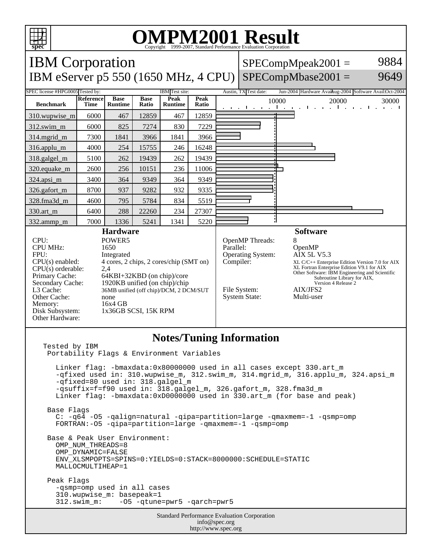

## **OMPM2001 Result** Copyright 1999-2007, Standard Performance Evaluation Corporation

IBM Corporation  $SPECompMpeak2001 =$ 9884 IBM eServer p5 550 (1650 MHz, 4 CPU) SPECompMbase2001 = 9649 SPEC license #HPG0005 Tested by: IBM Test site: Austin, TX Test date: Jun-2004 Hardware Avail: Austin, 2004 Software Avail: Oct-2004 **Base Reference Base Peak Peak Peak**<br>**Ratio** 10000 20000 30000 **Benchmark Time Runtime Ratio Runtime** 310.wupwise\_m 6000 467 12859 467 12859 312.swim\_m 6000 825 7274 830 7229 314.mgrid\_m | 7300 | 1841 | 3966 | 1841 | 3966 316.applu\_m 4000 254 15755 246 16248 318.galgel\_m 5100 262 19439 262 19439 320.equake\_m 2600 256 10151 236 11006  $\overline{a}$ 324.apsi\_m 3400 364 9349 364 9349 326.gafort\_m | 8700 | 937 | 9282 | 932 | 9335 328.fma3d\_m | 4600 | 795 | 5784 | 834 | 5519 330.art\_m 6400 288 22260 234 27307 332.ammp\_m | 7000 | 1336 | 5241 | 1341 | 5220 **Hardware Software** CPU: POWER5<br>
CPU MHz: 1650 OpenMP Threads: 8<br>Parallel: C CPU MHz: OpenMP FPU: Integrated Operating System: AIX 5L V5.3 CPU(s) enabled: 4 cores, 2 chips, 2 cores/chip (SMT on) Compiler: XL C/C++ Enterprise Edition Version 7.0 for AIX XL Fortran Enterprise Edition V9.1 for AIX CPU(s) orderable: 2,4<br>Primary Cache: 64F Other Software: IBM Engineering and Scientific Subroutine Library for AIX, Primary Cache: 64KBI+32KBD (on chip)/core<br>Secondary Cache: 1920KB unified (on chip)/chip 1920KB unified (on chip)/chip Version 4 Release 2 L3 Cache: 36MB unified (off chip)/DCM, 2 DCM/SUT File System: <br>System State: Multi-user Other Cache: none System State: Memory: 16x4 GB<br>Disk Subsystem: 1x36GB 1x36GB SCSI, 15K RPM Other Hardware: **Notes/Tuning Information** Tested by IBM Portability Flags & Environment Variables Linker flag: -bmaxdata:0x80000000 used in all cases except 330.art\_m -qfixed used in: 310.wupwise\_m, 312.swim\_m, 314.mgrid\_m, 316.applu\_m, 324.apsi\_m -qfixed=80 used in: 318.galgel\_m -qsuffix=f=f90 used in: 318.galgel\_m, 326.gafort\_m, 328.fma3d\_m Linker flag: -bmaxdata:0xD0000000 used in 330.art\_m (for base and peak) Base Flags C: -q64 -O5 -qalign=natural -qipa=partition=large -qmaxmem=-1 -qsmp=omp FORTRAN:-O5 -qipa=partition=large -qmaxmem=-1 -qsmp=omp Base & Peak User Environment: OMP\_NUM\_THREADS=8 OMP\_DYNAMIC=FALSE ENV\_XLSMPOPTS=SPINS=0:YIELDS=0:STACK=8000000:SCHEDULE=STATIC MALLOCMULTIHEAP=1 Peak Flags -qsmp=omp used in all cases 310.wupwise\_m: basepeak=1 312.swim\_m: -O5 -qtune=pwr5 -qarch=pwr5Standard Performance Evaluation Corporation info@spec.org http://www.spec.org